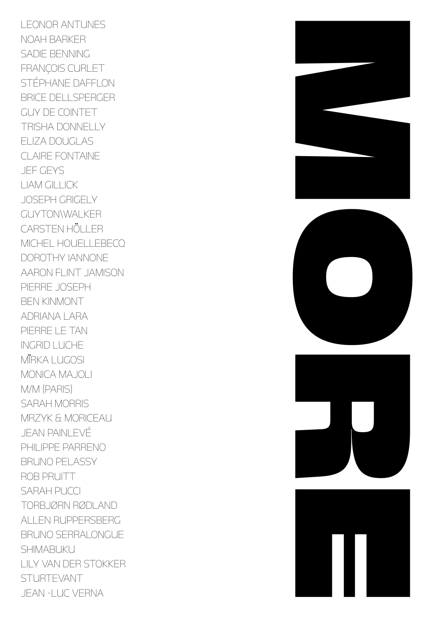LEONOR ANTUNES NOAH BARKER SADIE BENNING FRANÇOIS CURLET STÉPHANE DAFFLON BRICE DELLSPERGER GUY DE COINTET TRISHA DONNELLY ELIZA DOUGI AS CLAIRE FONTAINE JEF GEYS LIAM GILLICK JOSEPH GRIGELY GUYTON\WALKER CARSTEN HÖLLER MICHEL HOUELLEBECQ DOROTHY IANNONE AARON FLINT JAMISON PIERRE JOSEPH BEN KINMONT ADRIANA LARA PIERRE LE TAN INGRID LUCHE MËRKA LUGOSI MONICA MAJOLI M/M (PARIS) SARAH MORRIS MRZYK & MORICEAU JEAN PAINLEVÉ PHILIPPE PARRENO BRUNO PELASSY ROB PRUITT SARAH PUCCI TORBJØRN RØDLAND ALLEN RUPPERSBERG BRUNO SERRALONGUE SHIMABUKU LILY VAN DER STOKKER **STURTEVANT** JFAN-I UC VFRNA



![](_page_0_Picture_2.jpeg)

![](_page_0_Picture_3.jpeg)

![](_page_0_Picture_4.jpeg)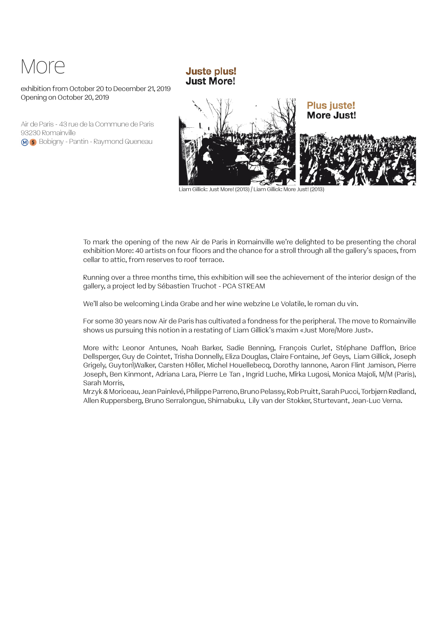# More

#### exhibition from October 20 to December 21, 2019 Opening on October 20, 2019

Air de Paris - 43 rue de la Commune de Paris 93230 Romainville **M 5** Bobigny - Pantin - Raymond Queneau

![](_page_1_Picture_3.jpeg)

Liam Gillick: Just More! (2013) / Liam Gillick: More Just! (2013)

To mark the opening of the new Air de Paris in Romainville we're delighted to be presenting the choral exhibition More: 40 artists on four floors and the chance for a stroll through all the gallery's spaces, from cellar to attic, from reserves to roof terrace.

Running over a three months time, this exhibition will see the achievement of the interior design of the gallery, a project led by Sébastien Truchot - PCA STREAM

We'll also be welcoming Linda Grabe and her wine webzine Le Volatile, le roman du vin.

**Juste plus! Just More!** 

For some 30 years now Air de Paris has cultivated a fondness for the peripheral. The move to Romainville shows us pursuing this notion in a restating of Liam Gillick's maxim «Just More/More Just».

More with: Leonor Antunes, Noah Barker, Sadie Benning, François Curlet, Stéphane Dafflon, Brice Dellsperger, Guy de Cointet, Trisha Donnelly, Eliza Douglas, Claire Fontaine, Jef Geys, Liam Gillick, Joseph Grigely, Guyton\Walker, Carsten Höller, Michel Houellebecq, Dorothy Iannone, Aaron Flint Jamison, Pierre Joseph, Ben Kinmont, Adriana Lara, Pierre Le Tan , Ingrid Luche, Mïrka Lugosi, Monica Majoli, M/M (Paris), Sarah Morris,

Mrzyk & Moriceau, Jean Painlevé, Philippe Parreno, Bruno Pelassy, Rob Pruitt, Sarah Pucci, Torbjørn Rødland, Allen Ruppersberg, Bruno Serralongue, Shimabuku, Lily van der Stokker, Sturtevant, Jean-Luc Verna.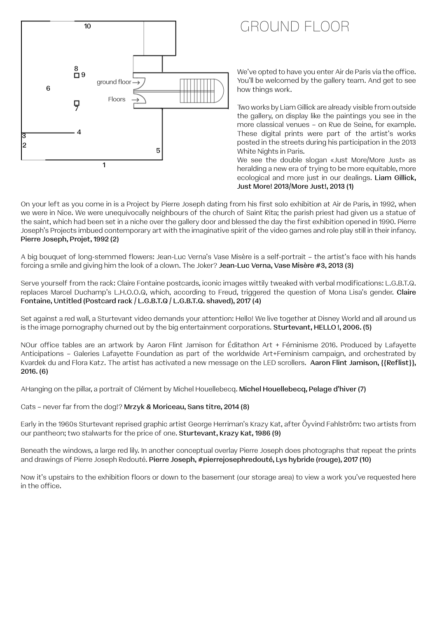![](_page_2_Figure_0.jpeg)

## GROUND FLOOR

We've opted to have you enter Air de Paris via the office. You'll be welcomed by the gallery team. And get to see how things work.

Two works by Liam Gillick are already visible from outside the gallery, on display like the paintings you see in the more classical venues – on Rue de Seine, for example. These digital prints were part of the artist's works posted in the streets during his participation in the 2013 White Nights in Paris.

We see the double slogan «Just More/More Just» as heralding a new era of trying to be more equitable, more ecological and more just in our dealings. Liam Gillick, Just More! 2013/More Just!, 2013 (1)

On your left as you come in is a Project by Pierre Joseph dating from his first solo exhibition at Air de Paris, in 1992, when we were in Nice. We were unequivocally neighbours of the church of Saint Rita; the parish priest had given us a statue of the saint, which had been set in a niche over the gallery door and blessed the day the first exhibition opened in 1990. Pierre Joseph's Projects imbued contemporary art with the imaginative spirit of the video games and role play still in their infancy. Pierre Joseph, Projet, 1992 (2)

A big bouquet of long-stemmed flowers: Jean-Luc Verna's Vase Misère is a self-portrait – the artist's face with his hands forcing a smile and giving him the look of a clown. The Joker? Jean-Luc Verna, Vase Misère #3, 2013 (3)

Serve yourself from the rack: Claire Fontaine postcards, iconic images wittily tweaked with verbal modifications: L.G.B.T.Q. replaces Marcel Duchamp's L.H.O.O.Q, which, according to Freud, triggered the question of Mona Lisa's gender. Claire Fontaine, Untitled (Postcard rack / L.G.B.T.Q / L.G.B.T.Q. shaved), 2017 (4)

Set against a red wall, a Sturtevant video demands your attention: Hello! We live together at Disney World and all around us is the image pornography churned out by the big entertainment corporations. Sturtevant, HELLO !, 2006. (5)

NOur office tables are an artwork by Aaron Flint Jamison for Éditathon Art + Féminisme 2016. Produced by Lafayette Anticipations – Galeries Lafayette Foundation as part of the worldwide Art+Feminism campaign, and orchestrated by Kvardek du and Flora Katz. The artist has activated a new message on the LED scrollers. Aaron Flint Jamison, {{Reflist}}, 2016. (6)

AHanging on the pillar, a portrait of Clément by Michel Houellebecq. Michel Houellebecq, Pelage d'hiver (7)

Cats – never far from the dog!? Mrzyk & Moriceau, Sans titre, 2014 (8)

Early in the 1960s Sturtevant reprised graphic artist George Herriman's Krazy Kat, after Öyvind Fahlström: two artists from our pantheon; two stalwarts for the price of one. Sturtevant, Krazy Kat, 1986 (9)

Beneath the windows, a large red lily. In another conceptual overlay Pierre Joseph does photographs that repeat the prints and drawings of Pierre Joseph Redouté. Pierre Joseph, #pierrejosephredouté, Lys hybride (rouge), 2017 (10)

Now it's upstairs to the exhibition floors or down to the basement (our storage area) to view a work you've requested here in the office.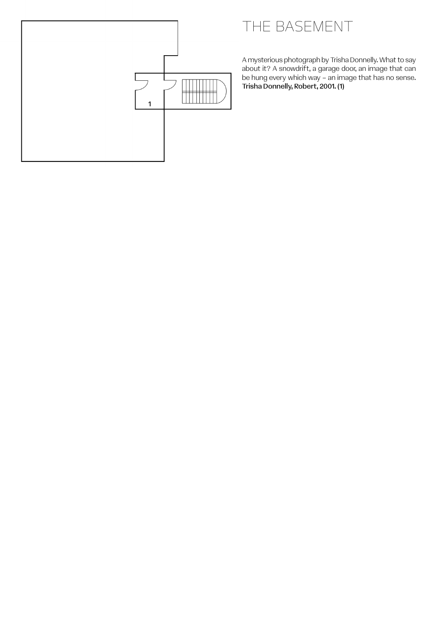![](_page_3_Figure_0.jpeg)

## THE BASEMENT

A mysterious photograph by Trisha Donnelly. What to say about it? A snowdrift, a garage door, an image that can be hung every which way – an image that has no sense. Trisha Donnelly, Robert, 2001. (1)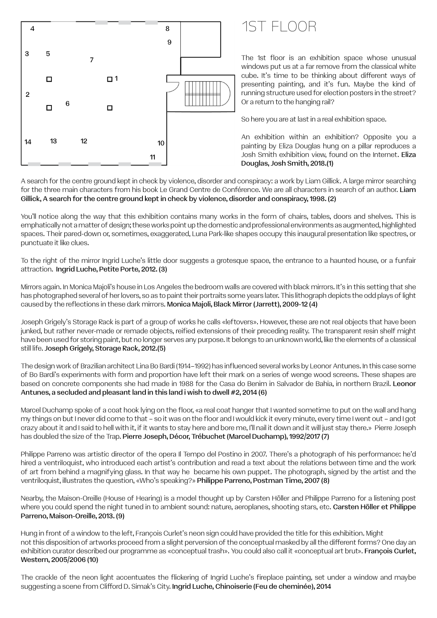![](_page_4_Figure_0.jpeg)

### 1ST FLOOR

The 1st floor is an exhibition space whose unusual windows put us at a far remove from the classical white cube. It's time to be thinking about different ways of presenting painting, and it's fun. Maybe the kind of running structure used for election posters in the street? Or a return to the hanging rail?

So here you are at last in a real exhibition space.

An exhibition within an exhibition? Opposite you a painting by Eliza Douglas hung on a pillar reproduces a Josh Smith exhibition view, found on the Internet. Eliza Douglas, Josh Smith, 2018.(1)

A search for the centre ground kept in check by violence, disorder and conspiracy: a work by Liam Gillick. A large mirror searching for the three main characters from his book Le Grand Centre de Conférence. We are all characters in search of an author. Liam Gillick, A search for the centre ground kept in check by violence, disorder and conspiracy, 1998. (2)

You'll notice along the way that this exhibition contains many works in the form of chairs, tables, doors and shelves. This is emphatically not a matter of design; these works point up the domestic and professional environments as augmented, highlighted spaces. Their pared-down or, sometimes, exaggerated, Luna Park-like shapes occupy this inaugural presentation like spectres, or punctuate it like clues.

To the right of the mirror Ingrid Luche's little door suggests a grotesque space, the entrance to a haunted house, or a funfair attraction. Ingrid Luche, Petite Porte, 2012. (3)

Mirrors again. In Monica Majoli's house in Los Angeles the bedroom walls are covered with black mirrors. It's in this setting that she has photographed several of her lovers, so as to paint their portraits some years later. This lithograph depicts the odd plays of light caused by the reflections in these dark mirrors. Monica Majoli, Black Mirror (Jarrett), 2009-12 (4)

Joseph Grigely's Storage Rack is part of a group of works he calls «leftovers». However, these are not real objects that have been junked, but rather never-made or remade objects, reified extensions of their preceding reality. The transparent resin shelf might have been used for storing paint, but no longer serves any purpose. It belongs to an unknown world, like the elements of a classical still life. Joseph Grigely, Storage Rack, 2012.(5)

The design work of Brazilian architect Lina Bo Bardi (1914–1992) has influenced several works by Leonor Antunes. In this case some of Bo Bardi's experiments with form and proportion have left their mark on a series of wenge wood screens. These shapes are based on concrete components she had made in 1988 for the Casa do Benim in Salvador de Bahia, in northern Brazil. Leonor Antunes, a secluded and pleasant land in this land i wish to dwell #2, 2014 (6)

Marcel Duchamp spoke of a coat hook lying on the floor, «a real coat hanger that I wanted sometime to put on the wall and hang my things on but I never did come to that – so it was on the floor and I would kick it every minute, every time I went out – and I got crazy about it and I said to hell with it, if it wants to stay here and bore me, I'll nail it down and it will just stay there.» Pierre Joseph has doubled the size of the Trap. Pierre Joseph, Décor, Trébuchet (Marcel Duchamp), 1992/2017 (7)

Philippe Parreno was artistic director of the opera Il Tempo del Postino in 2007. There's a photograph of his performance: he'd hired a ventriloquist, who introduced each artist's contribution and read a text about the relations between time and the work of art from behind a magnifying glass. In that way he became his own puppet. The photograph, signed by the artist and the ventriloquist, illustrates the question, «Who's speaking?» Philippe Parreno, Postman Time, 2007 (8)

Nearby, the Maison-Oreille (House of Hearing) is a model thought up by Carsten Höller and Philippe Parreno for a listening post where you could spend the night tuned in to ambient sound: nature, aeroplanes, shooting stars, etc. Carsten Höller et Philippe Parreno, Maison-Oreille, 2013. (9)

Hung in front of a window to the left, François Curlet's neon sign could have provided the title for this exhibition. Might not this disposition of artworks proceed from a slight perversion of the conceptual masked by all the different forms? One day an exhibition curator described our programme as «conceptual trash». You could also call it «conceptual art brut». François Curlet, Western, 2005/2006 (10)

The crackle of the neon light accentuates the flickering of Ingrid Luche's fireplace painting, set under a window and maybe suggesting a scene from Clifford D. Simak's City. Ingrid Luche, Chinoiserie (Feu de cheminée), 2014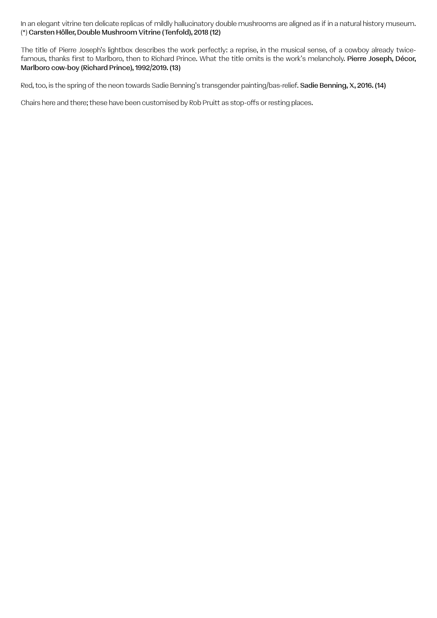In an elegant vitrine ten delicate replicas of mildly hallucinatory double mushrooms are aligned as if in a natural history museum. (\*) Carsten Höller, Double Mushroom Vitrine (Tenfold), 2018 (12)

The title of Pierre Joseph's lightbox describes the work perfectly: a reprise, in the musical sense, of a cowboy already twicefamous, thanks first to Marlboro, then to Richard Prince. What the title omits is the work's melancholy. Pierre Joseph, Décor, Marlboro cow-boy (Richard Prince), 1992/2019. (13)

Red, too, is the spring of the neon towards Sadie Benning's transgender painting/bas-relief. Sadie Benning, X, 2016. (14)

Chairs here and there; these have been customised by Rob Pruitt as stop-offs or resting places.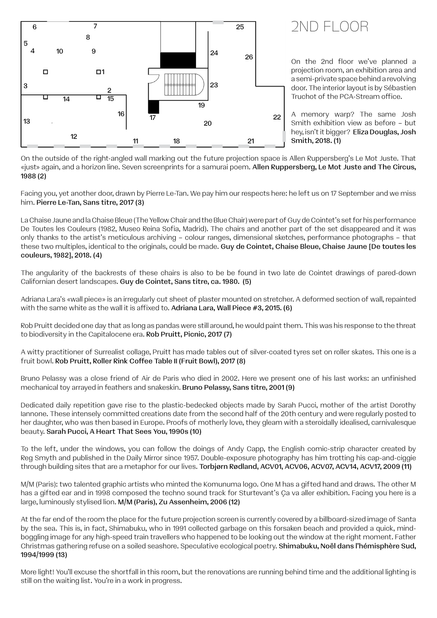![](_page_6_Figure_0.jpeg)

On the outside of the right-angled wall marking out the future projection space is Allen Ruppersberg's Le Mot Juste. That «just» again, and a horizon line. Seven screenprints for a samurai poem. Allen Ruppersberg, Le Mot Juste and The Circus, 1988 (2)

Facing you, yet another door, drawn by Pierre Le-Tan. We pay him our respects here: he left us on 17 September and we miss him. Pierre Le-Tan, Sans titre, 2017 (3)

La Chaise Jaune and la Chaise Bleue (The Yellow Chair and the Blue Chair) were part of Guy de Cointet's set for his performance De Toutes les Couleurs (1982, Museo Reina Sofia, Madrid). The chairs and another part of the set disappeared and it was only thanks to the artist's meticulous archiving – colour ranges, dimensional sketches, performance photographs – that these two multiples, identical to the originals, could be made. Guy de Cointet, Chaise Bleue, Chaise Jaune [De toutes les couleurs, 1982], 2018. (4)

The angularity of the backrests of these chairs is also to be be found in two late de Cointet drawings of pared-down Californian desert landscapes. Guy de Cointet, Sans titre, ca. 1980. (5)

Adriana Lara's «wall piece» is an irregularly cut sheet of plaster mounted on stretcher. A deformed section of wall, repainted with the same white as the wall it is affixed to. Adriana Lara, Wall Piece #3, 2015. (6)

Rob Pruitt decided one day that as long as pandas were still around, he would paint them. This was his response to the threat to biodiversity in the Capitalocene era. Rob Pruitt, Picnic, 2017 (7)

A witty practitioner of Surrealist collage, Pruitt has made tables out of silver-coated tyres set on roller skates. This one is a fruit bowl. Rob Pruitt, Roller Rink Coffee Table II (Fruit Bowl), 2017 (8)

Bruno Pelassy was a close friend of Air de Paris who died in 2002. Here we present one of his last works: an unfinished mechanical toy arrayed in feathers and snakeskin. Bruno Pelassy, Sans titre, 2001 (9)

Dedicated daily repetition gave rise to the plastic-bedecked objects made by Sarah Pucci, mother of the artist Dorothy Iannone. These intensely committed creations date from the second half of the 20th century and were regularly posted to her daughter, who was then based in Europe. Proofs of motherly love, they gleam with a steroidally idealised, carnivalesque beauty. Sarah Pucci, A Heart That Sees You, 1990s (10)

To the left, under the windows, you can follow the doings of Andy Capp, the English comic-strip character created by Reg Smyth and published in the Daily Mirror since 1957. Double-exposure photography has him trotting his cap-and-ciggie through building sites that are a metaphor for our lives. Torbjørn Rødland, ACV01, ACV06, ACV07, ACV14, ACV17, 2009 (11)

M/M (Paris): two talented graphic artists who minted the Komunuma logo. One M has a gifted hand and draws. The other M has a gifted ear and in 1998 composed the techno sound track for Sturtevant's Ça va aller exhibition. Facing you here is a large, luminously stylised lion. M/M (Paris), Zu Assenheim, 2006 (12)

At the far end of the room the place for the future projection screen is currently covered by a billboard-sized image of Santa by the sea. This is, in fact, Shimabuku, who in 1991 collected garbage on this forsaken beach and provided a quick, mindboggling image for any high-speed train travellers who happened to be looking out the window at the right moment. Father Christmas gathering refuse on a soiled seashore. Speculative ecological poetry. Shimabuku, Noël dans l'hémisphère Sud, 1994/1999 (13)

More light! You'll excuse the shortfall in this room, but the renovations are running behind time and the additional lighting is still on the waiting list. You're in a work in progress.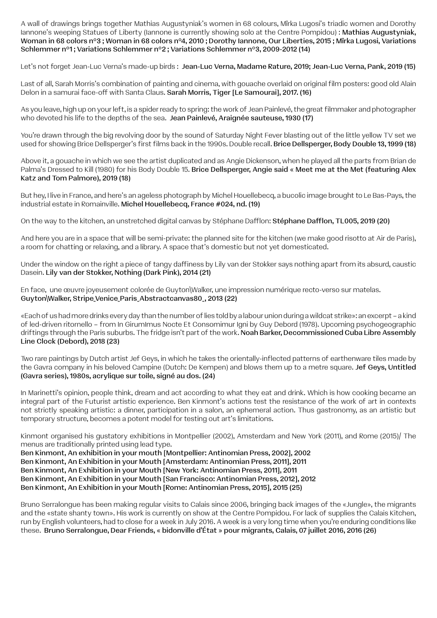A wall of drawings brings together Mathias Augustyniak's women in 68 colours, Mïrka Lugosi's triadic women and Dorothy Iannone's weeping Statues of Liberty (Iannone is currently showing solo at the Centre Pompidou): Mathias Augustyniak, Woman in 68 colors n°3 ; Woman in 68 colors n°4, 2010 ; Dorothy Iannone, Our Liberties, 2015 ; Mïrka Lugosi, Variations Schlemmer n°1 ; Variations Schlemmer n°2 ; Variations Schlemmer n°3, 2009-2012 (14)

Let's not forget Jean-Luc Verna's made-up birds : Jean-Luc Verna, Madame Rature, 2019; Jean-Luc Verna, Pank, 2019 (15)

Last of all, Sarah Morris's combination of painting and cinema, with gouache overlaid on original film posters: good old Alain Delon in a samurai face-off with Santa Claus. Sarah Morris, Tiger [Le Samourai], 2017. (16)

As you leave, high up on your left, is a spider ready to spring: the work of Jean Painlevé, the great filmmaker and photographer who devoted his life to the depths of the sea. Jean Painlevé, Araignée sauteuse, 1930 (17)

You're drawn through the big revolving door by the sound of Saturday Night Fever blasting out of the little yellow TV set we used for showing Brice Dellsperger's first films back in the 1990s. Double recall. Brice Dellsperger, Body Double 13, 1999 (18)

Above it, a gouache in which we see the artist duplicated and as Angie Dickenson, when he played all the parts from Brian de Palma's Dressed to Kill (1980) for his Body Double 15. Brice Dellsperger, Angie said « Meet me at the Met (featuring Alex Katz and Tom Palmore), 2019 (18)

But hey, I live in France, and here's an ageless photograph by Michel Houellebecq, a bucolic image brought to Le Bas-Pays, the industrial estate in Romainville. Michel Houellebecq, France #024, nd. (19)

On the way to the kitchen, an unstretched digital canvas by Stéphane Dafflon: Stéphane Dafflon, TL005, 2019 (20)

And here you are in a space that will be semi-private: the planned site for the kitchen (we make good risotto at Air de Paris), a room for chatting or relaxing, and a library. A space that's domestic but not yet domesticated.

Under the window on the right a piece of tangy daffiness by Lily van der Stokker says nothing apart from its absurd, caustic Dasein. Lily van der Stokker, Nothing (Dark Pink), 2014 (21)

En face, une œuvre joyeusement colorée de Guyton\Walker, une impression numérique recto-verso sur matelas. Guyton\Walker, Stripe\_Venice\_Paris\_Abstractcanvas80\_, 2013 (22)

«Each of us had more drinks every day than the number of lies told by a labour union during a wildcat strike»: an excerpt – a kind of led-driven ritornello – from In GirumImus Nocte Et Consomimur Igni by Guy Debord (1978). Upcoming psychogeographic driftings through the Paris suburbs. The fridge isn't part of the work. Noah Barker, Decommissioned Cuba Libre Assembly Line Clock (Debord), 2018 (23)

Two rare paintings by Dutch artist Jef Geys, in which he takes the orientally-inflected patterns of earthenware tiles made by the Gavra company in his beloved Campine (Dutch: De Kempen) and blows them up to a metre square. Jef Gevs. Untitled (Gavra series), 1980s, acrylique sur toile, signé au dos. (24)

In Marinetti's opinion, people think, dream and act according to what they eat and drink. Which is how cooking became an integral part of the Futurist artistic experience. Ben Kinmont's actions test the resistance of the work of art in contexts not strictly speaking artistic: a dinner, participation in a salon, an ephemeral action. Thus gastronomy, as an artistic but temporary structure, becomes a potent model for testing out art's limitations.

Kinmont organised his gustatory exhibitions in Montpellier (2002), Amsterdam and New York (2011), and Rome (2015)/ The menus are traditionally printed using lead type.

Ben Kinmont, An exhibition in your mouth [Montpellier: Antinomian Press, 2002], 2002 Ben Kinmont, An Exhibition in your Mouth [Amsterdam: Antinomian Press, 2011], 2011 Ben Kinmont, An Exhibition in your Mouth [New York: Antinomian Press, 2011], 2011 Ben Kinmont, An Exhibition in your Mouth [San Francisco: Antinomian Press, 2012], 2012 Ben Kinmont, An Exhibition in your Mouth [Rome: Antinomian Press, 2015], 2015 (25)

Bruno Serralongue has been making regular visits to Calais since 2006, bringing back images of the «Jungle», the migrants and the «state shanty town». His work is currently on show at the Centre Pompidou. For lack of supplies the Calais Kitchen, run by English volunteers, had to close for a week in July 2016. A week is a very long time when you're enduring conditions like these. Bruno Serralongue, Dear Friends, « bidonville d'État » pour migrants, Calais, 07 juillet 2016, 2016 (26)